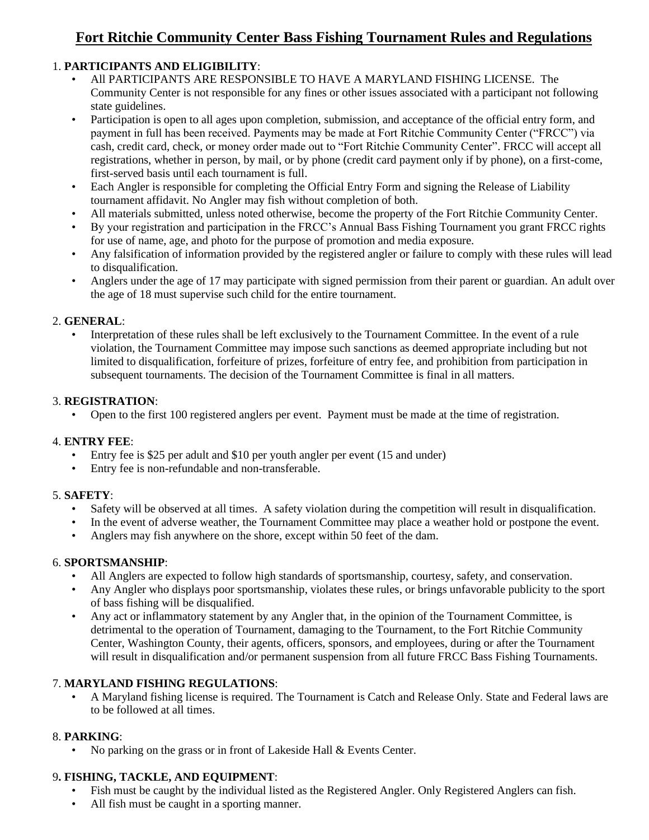# **Fort Ritchie Community Center Bass Fishing Tournament Rules and Regulations**

# 1. **PARTICIPANTS AND ELIGIBILITY**:

- All PARTICIPANTS ARE RESPONSIBLE TO HAVE A MARYLAND FISHING LICENSE. The Community Center is not responsible for any fines or other issues associated with a participant not following state guidelines.
- Participation is open to all ages upon completion, submission, and acceptance of the official entry form, and payment in full has been received. Payments may be made at Fort Ritchie Community Center ("FRCC") via cash, credit card, check, or money order made out to "Fort Ritchie Community Center". FRCC will accept all registrations, whether in person, by mail, or by phone (credit card payment only if by phone), on a first-come, first-served basis until each tournament is full.
- Each Angler is responsible for completing the Official Entry Form and signing the Release of Liability tournament affidavit. No Angler may fish without completion of both.
- All materials submitted, unless noted otherwise, become the property of the Fort Ritchie Community Center.
- By your registration and participation in the FRCC's Annual Bass Fishing Tournament you grant FRCC rights for use of name, age, and photo for the purpose of promotion and media exposure.
- Any falsification of information provided by the registered angler or failure to comply with these rules will lead to disqualification.
- Anglers under the age of 17 may participate with signed permission from their parent or guardian. An adult over the age of 18 must supervise such child for the entire tournament.

#### 2. **GENERAL**:

• Interpretation of these rules shall be left exclusively to the Tournament Committee. In the event of a rule violation, the Tournament Committee may impose such sanctions as deemed appropriate including but not limited to disqualification, forfeiture of prizes, forfeiture of entry fee, and prohibition from participation in subsequent tournaments. The decision of the Tournament Committee is final in all matters.

#### 3. **REGISTRATION**:

• Open to the first 100 registered anglers per event. Payment must be made at the time of registration.

#### 4. **ENTRY FEE**:

- Entry fee is \$25 per adult and \$10 per youth angler per event (15 and under)
- Entry fee is non-refundable and non-transferable.

# 5. **SAFETY**:

- Safety will be observed at all times. A safety violation during the competition will result in disqualification.
- In the event of adverse weather, the Tournament Committee may place a weather hold or postpone the event.
- Anglers may fish anywhere on the shore, except within 50 feet of the dam.

# 6. **SPORTSMANSHIP**:

- All Anglers are expected to follow high standards of sportsmanship, courtesy, safety, and conservation.
- Any Angler who displays poor sportsmanship, violates these rules, or brings unfavorable publicity to the sport of bass fishing will be disqualified.
- Any act or inflammatory statement by any Angler that, in the opinion of the Tournament Committee, is detrimental to the operation of Tournament, damaging to the Tournament, to the Fort Ritchie Community Center, Washington County, their agents, officers, sponsors, and employees, during or after the Tournament will result in disqualification and/or permanent suspension from all future FRCC Bass Fishing Tournaments.

# 7. **MARYLAND FISHING REGULATIONS**:

• A Maryland fishing license is required. The Tournament is Catch and Release Only. State and Federal laws are to be followed at all times.

# 8. **PARKING**:

• No parking on the grass or in front of Lakeside Hall & Events Center.

# 9**. FISHING, TACKLE, AND EQUIPMENT**:

- Fish must be caught by the individual listed as the Registered Angler. Only Registered Anglers can fish.
- All fish must be caught in a sporting manner.